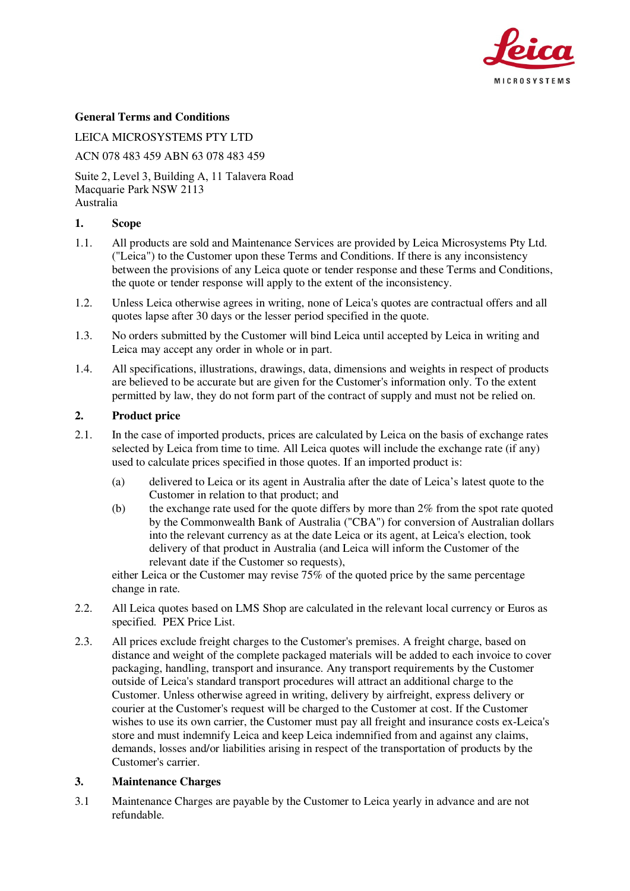

## **General Terms and Conditions**

LEICA MICROSYSTEMS PTY LTD

ACN 078 483 459 ABN 63 078 483 459

Suite 2, Level 3, Building A, 11 Talavera Road Macquarie Park NSW 2113 Australia

#### **1. Scope**

- 1.1. All products are sold and Maintenance Services are provided by Leica Microsystems Pty Ltd. ("Leica") to the Customer upon these Terms and Conditions. If there is any inconsistency between the provisions of any Leica quote or tender response and these Terms and Conditions, the quote or tender response will apply to the extent of the inconsistency.
- 1.2. Unless Leica otherwise agrees in writing, none of Leica's quotes are contractual offers and all quotes lapse after 30 days or the lesser period specified in the quote.
- 1.3. No orders submitted by the Customer will bind Leica until accepted by Leica in writing and Leica may accept any order in whole or in part.
- 1.4. All specifications, illustrations, drawings, data, dimensions and weights in respect of products are believed to be accurate but are given for the Customer's information only. To the extent permitted by law, they do not form part of the contract of supply and must not be relied on.

#### **2. Product price**

- 2.1. In the case of imported products, prices are calculated by Leica on the basis of exchange rates selected by Leica from time to time. All Leica quotes will include the exchange rate (if any) used to calculate prices specified in those quotes. If an imported product is:
	- (a) delivered to Leica or its agent in Australia after the date of Leica's latest quote to the Customer in relation to that product; and
	- (b) the exchange rate used for the quote differs by more than 2% from the spot rate quoted by the Commonwealth Bank of Australia ("CBA") for conversion of Australian dollars into the relevant currency as at the date Leica or its agent, at Leica's election, took delivery of that product in Australia (and Leica will inform the Customer of the relevant date if the Customer so requests),

either Leica or the Customer may revise  $75\%$  of the quoted price by the same percentage change in rate.

- 2.2. All Leica quotes based on LMS Shop are calculated in the relevant local currency or Euros as specified. PEX Price List.
- 2.3. All prices exclude freight charges to the Customer's premises. A freight charge, based on distance and weight of the complete packaged materials will be added to each invoice to cover packaging, handling, transport and insurance. Any transport requirements by the Customer outside of Leica's standard transport procedures will attract an additional charge to the Customer. Unless otherwise agreed in writing, delivery by airfreight, express delivery or courier at the Customer's request will be charged to the Customer at cost. If the Customer wishes to use its own carrier, the Customer must pay all freight and insurance costs ex-Leica's store and must indemnify Leica and keep Leica indemnified from and against any claims, demands, losses and/or liabilities arising in respect of the transportation of products by the Customer's carrier.

#### **3. Maintenance Charges**

3.1 Maintenance Charges are payable by the Customer to Leica yearly in advance and are not refundable.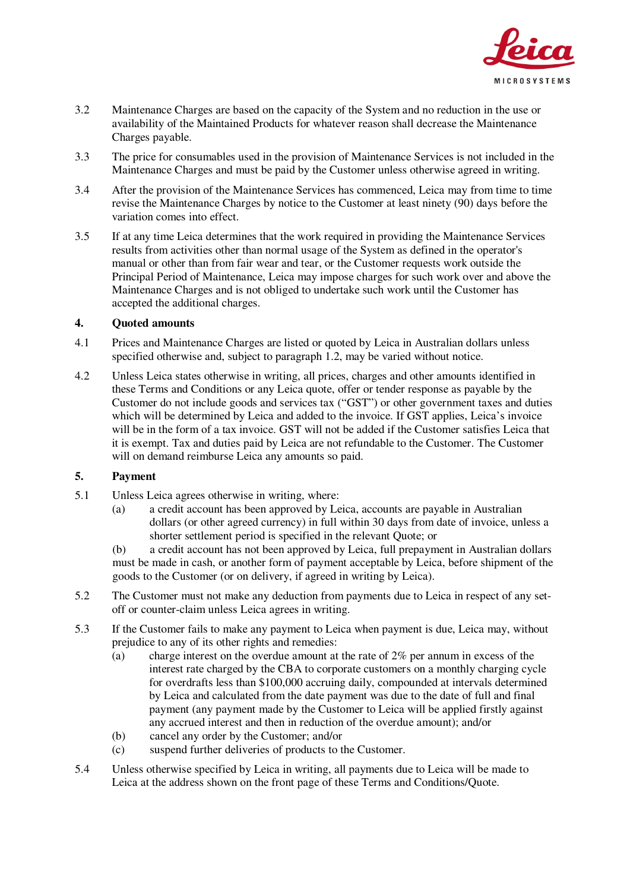

- 3.2 Maintenance Charges are based on the capacity of the System and no reduction in the use or availability of the Maintained Products for whatever reason shall decrease the Maintenance Charges payable.
- 3.3 The price for consumables used in the provision of Maintenance Services is not included in the Maintenance Charges and must be paid by the Customer unless otherwise agreed in writing.
- 3.4 After the provision of the Maintenance Services has commenced, Leica may from time to time revise the Maintenance Charges by notice to the Customer at least ninety (90) days before the variation comes into effect.
- 3.5 If at any time Leica determines that the work required in providing the Maintenance Services results from activities other than normal usage of the System as defined in the operator's manual or other than from fair wear and tear, or the Customer requests work outside the Principal Period of Maintenance, Leica may impose charges for such work over and above the Maintenance Charges and is not obliged to undertake such work until the Customer has accepted the additional charges.

## **4. Quoted amounts**

- 4.1 Prices and Maintenance Charges are listed or quoted by Leica in Australian dollars unless specified otherwise and, subject to paragraph 1.2, may be varied without notice.
- 4.2 Unless Leica states otherwise in writing, all prices, charges and other amounts identified in these Terms and Conditions or any Leica quote, offer or tender response as payable by the Customer do not include goods and services tax ("GST") or other government taxes and duties which will be determined by Leica and added to the invoice. If GST applies, Leica's invoice will be in the form of a tax invoice. GST will not be added if the Customer satisfies Leica that it is exempt. Tax and duties paid by Leica are not refundable to the Customer. The Customer will on demand reimburse Leica any amounts so paid.

# **5. Payment**

- 5.1 Unless Leica agrees otherwise in writing, where:
	- (a) a credit account has been approved by Leica, accounts are payable in Australian dollars (or other agreed currency) in full within 30 days from date of invoice, unless a shorter settlement period is specified in the relevant Quote; or

(b) a credit account has not been approved by Leica, full prepayment in Australian dollars must be made in cash, or another form of payment acceptable by Leica, before shipment of the goods to the Customer (or on delivery, if agreed in writing by Leica).

- 5.2 The Customer must not make any deduction from payments due to Leica in respect of any setoff or counter-claim unless Leica agrees in writing.
- 5.3 If the Customer fails to make any payment to Leica when payment is due, Leica may, without prejudice to any of its other rights and remedies:
	- $(a)$  charge interest on the overdue amount at the rate of 2% per annum in excess of the interest rate charged by the CBA to corporate customers on a monthly charging cycle for overdrafts less than \$100,000 accruing daily, compounded at intervals determined by Leica and calculated from the date payment was due to the date of full and final payment (any payment made by the Customer to Leica will be applied firstly against any accrued interest and then in reduction of the overdue amount); and/or
	- (b) cancel any order by the Customer; and/or
	- (c) suspend further deliveries of products to the Customer.
- 5.4 Unless otherwise specified by Leica in writing, all payments due to Leica will be made to Leica at the address shown on the front page of these Terms and Conditions/Quote.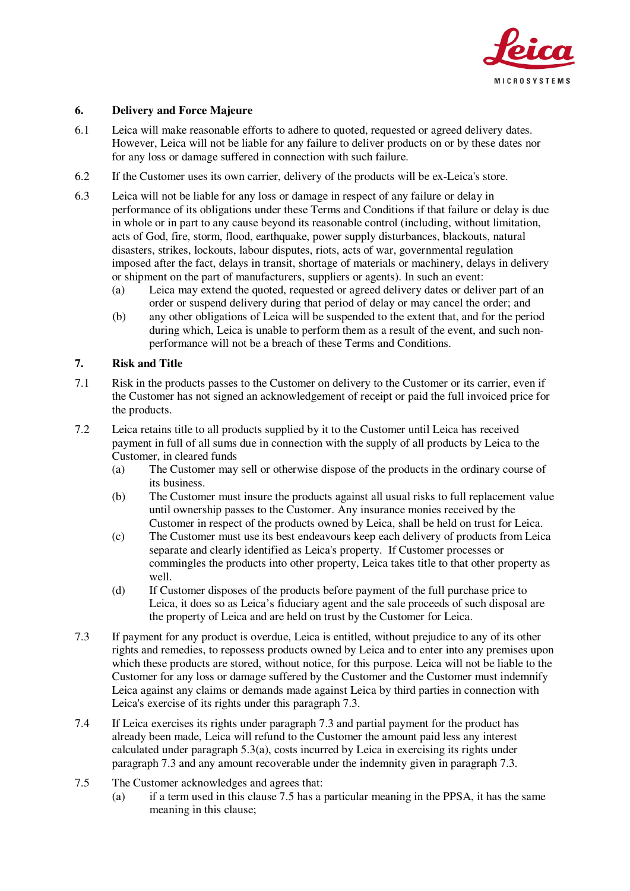

## **6. Delivery and Force Majeure**

- 6.1 Leica will make reasonable efforts to adhere to quoted, requested or agreed delivery dates. However, Leica will not be liable for any failure to deliver products on or by these dates nor for any loss or damage suffered in connection with such failure.
- 6.2 If the Customer uses its own carrier, delivery of the products will be ex-Leica's store.
- 6.3 Leica will not be liable for any loss or damage in respect of any failure or delay in performance of its obligations under these Terms and Conditions if that failure or delay is due in whole or in part to any cause beyond its reasonable control (including, without limitation, acts of God, fire, storm, flood, earthquake, power supply disturbances, blackouts, natural disasters, strikes, lockouts, labour disputes, riots, acts of war, governmental regulation imposed after the fact, delays in transit, shortage of materials or machinery, delays in delivery or shipment on the part of manufacturers, suppliers or agents). In such an event:
	- (a) Leica may extend the quoted, requested or agreed delivery dates or deliver part of an order or suspend delivery during that period of delay or may cancel the order; and
	- (b) any other obligations of Leica will be suspended to the extent that, and for the period during which, Leica is unable to perform them as a result of the event, and such nonperformance will not be a breach of these Terms and Conditions.

#### **7. Risk and Title**

- 7.1 Risk in the products passes to the Customer on delivery to the Customer or its carrier, even if the Customer has not signed an acknowledgement of receipt or paid the full invoiced price for the products.
- 7.2 Leica retains title to all products supplied by it to the Customer until Leica has received payment in full of all sums due in connection with the supply of all products by Leica to the Customer, in cleared funds
	- (a) The Customer may sell or otherwise dispose of the products in the ordinary course of its business.
	- (b) The Customer must insure the products against all usual risks to full replacement value until ownership passes to the Customer. Any insurance monies received by the Customer in respect of the products owned by Leica, shall be held on trust for Leica.
	- (c) The Customer must use its best endeavours keep each delivery of products from Leica separate and clearly identified as Leica's property. If Customer processes or commingles the products into other property, Leica takes title to that other property as well.
	- (d) If Customer disposes of the products before payment of the full purchase price to Leica, it does so as Leica's fiduciary agent and the sale proceeds of such disposal are the property of Leica and are held on trust by the Customer for Leica.
- 7.3 If payment for any product is overdue, Leica is entitled, without prejudice to any of its other rights and remedies, to repossess products owned by Leica and to enter into any premises upon which these products are stored, without notice, for this purpose. Leica will not be liable to the Customer for any loss or damage suffered by the Customer and the Customer must indemnify Leica against any claims or demands made against Leica by third parties in connection with Leica's exercise of its rights under this paragraph 7.3.
- 7.4 If Leica exercises its rights under paragraph 7.3 and partial payment for the product has already been made, Leica will refund to the Customer the amount paid less any interest calculated under paragraph 5.3(a), costs incurred by Leica in exercising its rights under paragraph 7.3 and any amount recoverable under the indemnity given in paragraph 7.3.
- 7.5 The Customer acknowledges and agrees that:
	- (a) if a term used in this clause 7.5 has a particular meaning in the PPSA, it has the same meaning in this clause;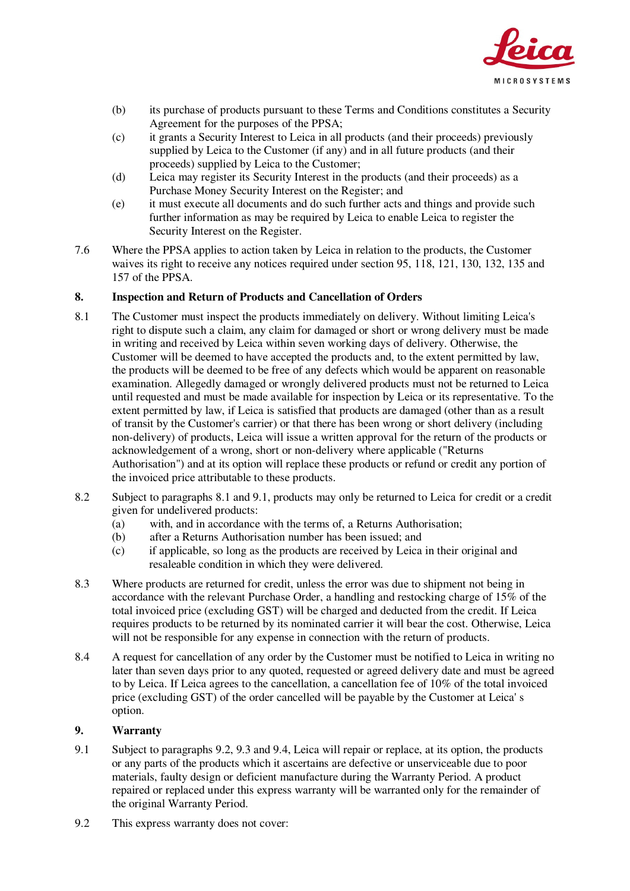

- (b) its purchase of products pursuant to these Terms and Conditions constitutes a Security Agreement for the purposes of the PPSA;
- (c) it grants a Security Interest to Leica in all products (and their proceeds) previously supplied by Leica to the Customer (if any) and in all future products (and their proceeds) supplied by Leica to the Customer;
- (d) Leica may register its Security Interest in the products (and their proceeds) as a Purchase Money Security Interest on the Register; and
- (e) it must execute all documents and do such further acts and things and provide such further information as may be required by Leica to enable Leica to register the Security Interest on the Register.
- 7.6 Where the PPSA applies to action taken by Leica in relation to the products, the Customer waives its right to receive any notices required under section 95, 118, 121, 130, 132, 135 and 157 of the PPSA.

## **8. Inspection and Return of Products and Cancellation of Orders**

- 8.1 The Customer must inspect the products immediately on delivery. Without limiting Leica's right to dispute such a claim, any claim for damaged or short or wrong delivery must be made in writing and received by Leica within seven working days of delivery. Otherwise, the Customer will be deemed to have accepted the products and, to the extent permitted by law, the products will be deemed to be free of any defects which would be apparent on reasonable examination. Allegedly damaged or wrongly delivered products must not be returned to Leica until requested and must be made available for inspection by Leica or its representative. To the extent permitted by law, if Leica is satisfied that products are damaged (other than as a result of transit by the Customer's carrier) or that there has been wrong or short delivery (including non-delivery) of products, Leica will issue a written approval for the return of the products or acknowledgement of a wrong, short or non-delivery where applicable ("Returns Authorisation") and at its option will replace these products or refund or credit any portion of the invoiced price attributable to these products.
- 8.2 Subject to paragraphs 8.1 and 9.1, products may only be returned to Leica for credit or a credit given for undelivered products:
	- (a) with, and in accordance with the terms of, a Returns Authorisation;
	- (b) after a Returns Authorisation number has been issued; and
	- (c) if applicable, so long as the products are received by Leica in their original and resaleable condition in which they were delivered.
- 8.3 Where products are returned for credit, unless the error was due to shipment not being in accordance with the relevant Purchase Order, a handling and restocking charge of 15% of the total invoiced price (excluding GST) will be charged and deducted from the credit. If Leica requires products to be returned by its nominated carrier it will bear the cost. Otherwise, Leica will not be responsible for any expense in connection with the return of products.
- 8.4 A request for cancellation of any order by the Customer must be notified to Leica in writing no later than seven days prior to any quoted, requested or agreed delivery date and must be agreed to by Leica. If Leica agrees to the cancellation, a cancellation fee of 10% of the total invoiced price (excluding GST) of the order cancelled will be payable by the Customer at Leica' s option.

# **9. Warranty**

- 9.1 Subject to paragraphs 9.2, 9.3 and 9.4, Leica will repair or replace, at its option, the products or any parts of the products which it ascertains are defective or unserviceable due to poor materials, faulty design or deficient manufacture during the Warranty Period. A product repaired or replaced under this express warranty will be warranted only for the remainder of the original Warranty Period.
- 9.2 This express warranty does not cover: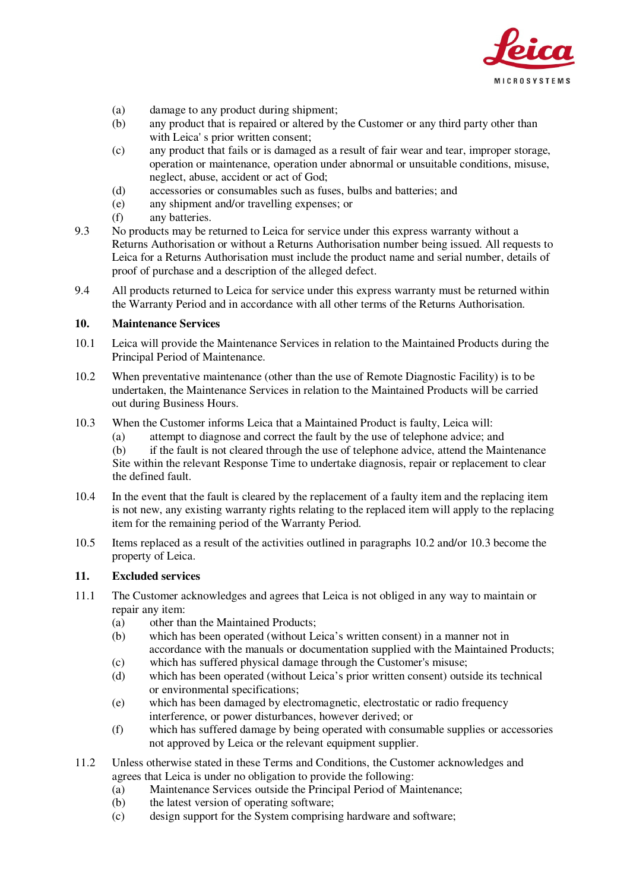

- (a) damage to any product during shipment;
- (b) any product that is repaired or altered by the Customer or any third party other than with Leica' s prior written consent;
- (c) any product that fails or is damaged as a result of fair wear and tear, improper storage, operation or maintenance, operation under abnormal or unsuitable conditions, misuse, neglect, abuse, accident or act of God;
- (d) accessories or consumables such as fuses, bulbs and batteries; and
- (e) any shipment and/or travelling expenses; or
- (f) any batteries.
- 9.3 No products may be returned to Leica for service under this express warranty without a Returns Authorisation or without a Returns Authorisation number being issued. All requests to Leica for a Returns Authorisation must include the product name and serial number, details of proof of purchase and a description of the alleged defect.
- 9.4 All products returned to Leica for service under this express warranty must be returned within the Warranty Period and in accordance with all other terms of the Returns Authorisation.

#### **10. Maintenance Services**

- 10.1 Leica will provide the Maintenance Services in relation to the Maintained Products during the Principal Period of Maintenance.
- 10.2 When preventative maintenance (other than the use of Remote Diagnostic Facility) is to be undertaken, the Maintenance Services in relation to the Maintained Products will be carried out during Business Hours.
- 10.3 When the Customer informs Leica that a Maintained Product is faulty, Leica will:
	- (a) attempt to diagnose and correct the fault by the use of telephone advice; and

(b) if the fault is not cleared through the use of telephone advice, attend the Maintenance Site within the relevant Response Time to undertake diagnosis, repair or replacement to clear the defined fault.

- 10.4 In the event that the fault is cleared by the replacement of a faulty item and the replacing item is not new, any existing warranty rights relating to the replaced item will apply to the replacing item for the remaining period of the Warranty Period.
- 10.5 Items replaced as a result of the activities outlined in paragraphs 10.2 and/or 10.3 become the property of Leica.

### **11. Excluded services**

- 11.1 The Customer acknowledges and agrees that Leica is not obliged in any way to maintain or repair any item:
	- (a) other than the Maintained Products;
	- (b) which has been operated (without Leica's written consent) in a manner not in accordance with the manuals or documentation supplied with the Maintained Products;
	- (c) which has suffered physical damage through the Customer's misuse;
	- (d) which has been operated (without Leica's prior written consent) outside its technical or environmental specifications;
	- (e) which has been damaged by electromagnetic, electrostatic or radio frequency interference, or power disturbances, however derived; or
	- (f) which has suffered damage by being operated with consumable supplies or accessories not approved by Leica or the relevant equipment supplier.
- 11.2 Unless otherwise stated in these Terms and Conditions, the Customer acknowledges and agrees that Leica is under no obligation to provide the following:
	- (a) Maintenance Services outside the Principal Period of Maintenance;
	- (b) the latest version of operating software;
	- (c) design support for the System comprising hardware and software;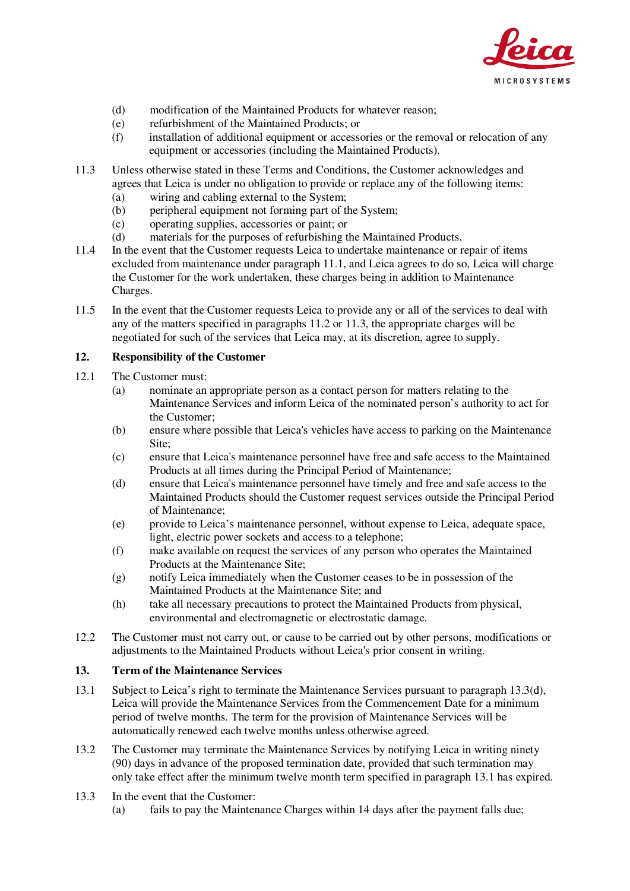

- (d) modification of the Maintained Products for whatever reason;
- (e) refurbishment of the Maintained Products; or
- (f) installation of additional equipment or accessories or the removal or relocation of any equipment or accessories (including the Maintained Products).
- 11.3 Unless otherwise stated in these Terms and Conditions, the Customer acknowledges and agrees that Leica is under no obligation to provide or replace any of the following items:
	- (a) wiring and cabling external to the System;
	- (b) peripheral equipment not forming part of the System;
	- (c) operating supplies, accessories or paint; or
	- (d) materials for the purposes of refurbishing the Maintained Products.
- 11.4 In the event that the Customer requests Leica to undertake maintenance or repair of items excluded from maintenance under paragraph 11.1, and Leica agrees to do so, Leica will charge the Customer for the work undertaken, these charges being in addition to Maintenance Charges.
- 11.5 In the event that the Customer requests Leica to provide any or all of the services to deal with any of the matters specified in paragraphs 11.2 or 11.3, the appropriate charges will be negotiated for such of the services that Leica may, at its discretion, agree to supply.

## **12. Responsibility of the Customer**

- 12.1 The Customer must:
	- (a) nominate an appropriate person as a contact person for matters relating to the Maintenance Services and inform Leica of the nominated person's authority to act for the Customer;
	- (b) ensure where possible that Leica's vehicles have access to parking on the Maintenance Site;
	- (c) ensure that Leica's maintenance personnel have free and safe access to the Maintained Products at all times during the Principal Period of Maintenance;
	- (d) ensure that Leica's maintenance personnel have timely and free and safe access to the Maintained Products should the Customer request services outside the Principal Period of Maintenance;
	- (e) provide to Leica's maintenance personnel, without expense to Leica, adequate space, light, electric power sockets and access to a telephone;
	- (f) make available on request the services of any person who operates the Maintained Products at the Maintenance Site;
	- (g) notify Leica immediately when the Customer ceases to be in possession of the Maintained Products at the Maintenance Site; and
	- (h) take all necessary precautions to protect the Maintained Products from physical, environmental and electromagnetic or electrostatic damage.
- 12.2 The Customer must not carry out, or cause to be carried out by other persons, modifications or adjustments to the Maintained Products without Leica's prior consent in writing.

## **13. Term of the Maintenance Services**

- 13.1 Subject to Leica's right to terminate the Maintenance Services pursuant to paragraph 13.3(d), Leica will provide the Maintenance Services from the Commencement Date for a minimum period of twelve months. The term for the provision of Maintenance Services will be automatically renewed each twelve months unless otherwise agreed.
- 13.2 The Customer may terminate the Maintenance Services by notifying Leica in writing ninety (90) days in advance of the proposed termination date, provided that such termination may only take effect after the minimum twelve month term specified in paragraph 13.1 has expired.
- 13.3 In the event that the Customer:
	- (a) fails to pay the Maintenance Charges within 14 days after the payment falls due;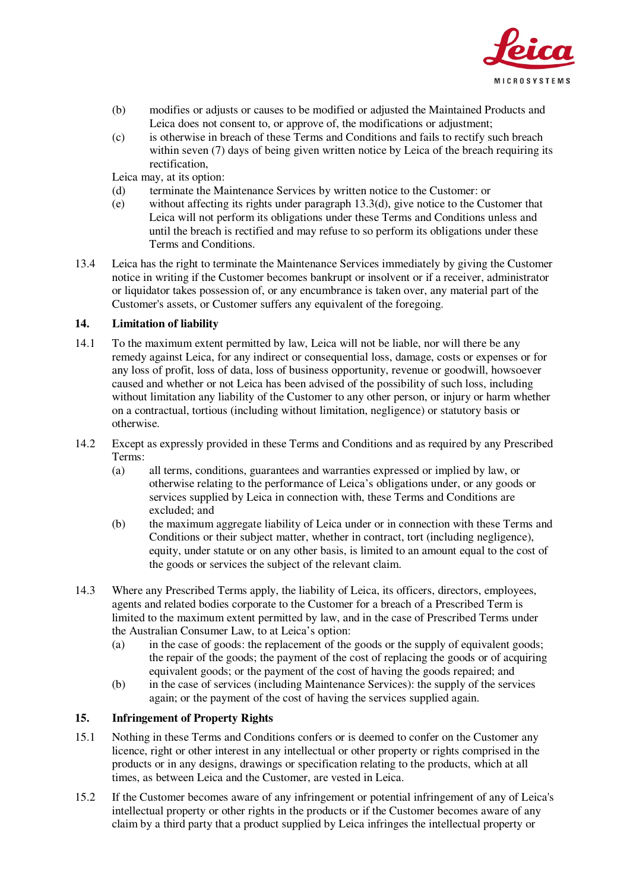

- (b) modifies or adjusts or causes to be modified or adjusted the Maintained Products and Leica does not consent to, or approve of, the modifications or adjustment;
- (c) is otherwise in breach of these Terms and Conditions and fails to rectify such breach within seven (7) days of being given written notice by Leica of the breach requiring its rectification,

Leica may, at its option:

- (d) terminate the Maintenance Services by written notice to the Customer: or
- (e) without affecting its rights under paragraph 13.3(d), give notice to the Customer that Leica will not perform its obligations under these Terms and Conditions unless and until the breach is rectified and may refuse to so perform its obligations under these Terms and Conditions.
- 13.4 Leica has the right to terminate the Maintenance Services immediately by giving the Customer notice in writing if the Customer becomes bankrupt or insolvent or if a receiver, administrator or liquidator takes possession of, or any encumbrance is taken over, any material part of the Customer's assets, or Customer suffers any equivalent of the foregoing.

# **14. Limitation of liability**

- 14.1 To the maximum extent permitted by law, Leica will not be liable, nor will there be any remedy against Leica, for any indirect or consequential loss, damage, costs or expenses or for any loss of profit, loss of data, loss of business opportunity, revenue or goodwill, howsoever caused and whether or not Leica has been advised of the possibility of such loss, including without limitation any liability of the Customer to any other person, or injury or harm whether on a contractual, tortious (including without limitation, negligence) or statutory basis or otherwise.
- 14.2 Except as expressly provided in these Terms and Conditions and as required by any Prescribed Terms:
	- (a) all terms, conditions, guarantees and warranties expressed or implied by law, or otherwise relating to the performance of Leica's obligations under, or any goods or services supplied by Leica in connection with, these Terms and Conditions are excluded; and
	- (b) the maximum aggregate liability of Leica under or in connection with these Terms and Conditions or their subject matter, whether in contract, tort (including negligence), equity, under statute or on any other basis, is limited to an amount equal to the cost of the goods or services the subject of the relevant claim.
- 14.3 Where any Prescribed Terms apply, the liability of Leica, its officers, directors, employees, agents and related bodies corporate to the Customer for a breach of a Prescribed Term is limited to the maximum extent permitted by law, and in the case of Prescribed Terms under the Australian Consumer Law, to at Leica's option:
	- (a) in the case of goods: the replacement of the goods or the supply of equivalent goods; the repair of the goods; the payment of the cost of replacing the goods or of acquiring equivalent goods; or the payment of the cost of having the goods repaired; and
	- (b) in the case of services (including Maintenance Services): the supply of the services again; or the payment of the cost of having the services supplied again.

#### **15. Infringement of Property Rights**

- 15.1 Nothing in these Terms and Conditions confers or is deemed to confer on the Customer any licence, right or other interest in any intellectual or other property or rights comprised in the products or in any designs, drawings or specification relating to the products, which at all times, as between Leica and the Customer, are vested in Leica.
- 15.2 If the Customer becomes aware of any infringement or potential infringement of any of Leica's intellectual property or other rights in the products or if the Customer becomes aware of any claim by a third party that a product supplied by Leica infringes the intellectual property or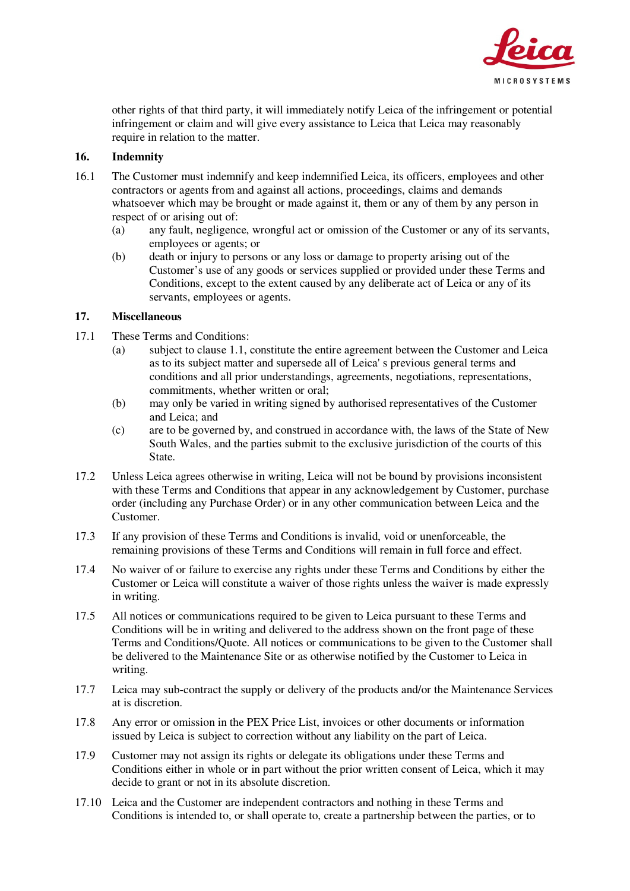

other rights of that third party, it will immediately notify Leica of the infringement or potential infringement or claim and will give every assistance to Leica that Leica may reasonably require in relation to the matter.

# **16. Indemnity**

- 16.1 The Customer must indemnify and keep indemnified Leica, its officers, employees and other contractors or agents from and against all actions, proceedings, claims and demands whatsoever which may be brought or made against it, them or any of them by any person in respect of or arising out of:
	- (a) any fault, negligence, wrongful act or omission of the Customer or any of its servants, employees or agents; or
	- (b) death or injury to persons or any loss or damage to property arising out of the Customer's use of any goods or services supplied or provided under these Terms and Conditions, except to the extent caused by any deliberate act of Leica or any of its servants, employees or agents.

# **17. Miscellaneous**

- 17.1 These Terms and Conditions:
	- (a) subject to clause 1.1, constitute the entire agreement between the Customer and Leica as to its subject matter and supersede all of Leica' s previous general terms and conditions and all prior understandings, agreements, negotiations, representations, commitments, whether written or oral;
	- (b) may only be varied in writing signed by authorised representatives of the Customer and Leica; and
	- (c) are to be governed by, and construed in accordance with, the laws of the State of New South Wales, and the parties submit to the exclusive jurisdiction of the courts of this State.
- 17.2 Unless Leica agrees otherwise in writing, Leica will not be bound by provisions inconsistent with these Terms and Conditions that appear in any acknowledgement by Customer, purchase order (including any Purchase Order) or in any other communication between Leica and the Customer.
- 17.3 If any provision of these Terms and Conditions is invalid, void or unenforceable, the remaining provisions of these Terms and Conditions will remain in full force and effect.
- 17.4 No waiver of or failure to exercise any rights under these Terms and Conditions by either the Customer or Leica will constitute a waiver of those rights unless the waiver is made expressly in writing.
- 17.5 All notices or communications required to be given to Leica pursuant to these Terms and Conditions will be in writing and delivered to the address shown on the front page of these Terms and Conditions/Quote. All notices or communications to be given to the Customer shall be delivered to the Maintenance Site or as otherwise notified by the Customer to Leica in writing.
- 17.7 Leica may sub-contract the supply or delivery of the products and/or the Maintenance Services at is discretion.
- 17.8 Any error or omission in the PEX Price List, invoices or other documents or information issued by Leica is subject to correction without any liability on the part of Leica.
- 17.9 Customer may not assign its rights or delegate its obligations under these Terms and Conditions either in whole or in part without the prior written consent of Leica, which it may decide to grant or not in its absolute discretion.
- 17.10 Leica and the Customer are independent contractors and nothing in these Terms and Conditions is intended to, or shall operate to, create a partnership between the parties, or to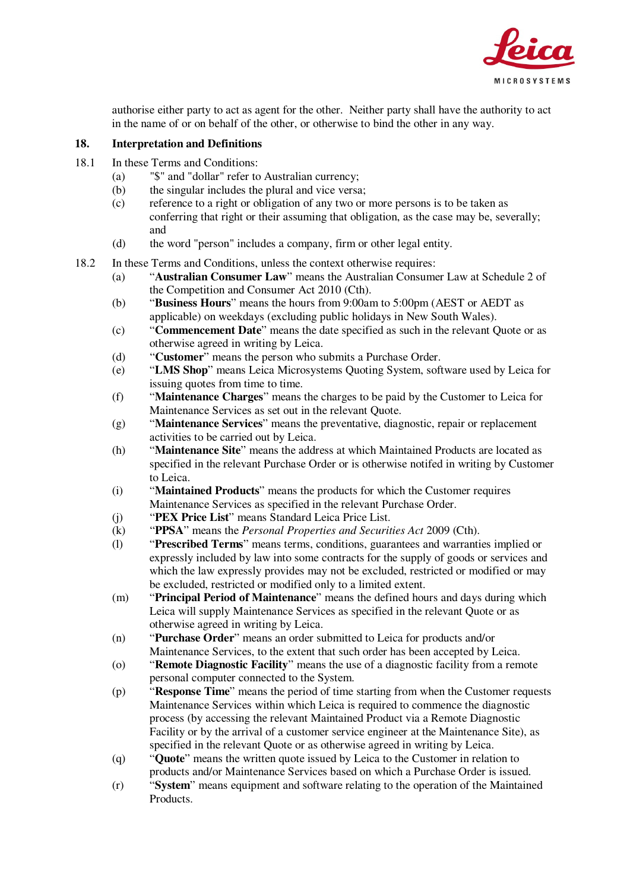

authorise either party to act as agent for the other. Neither party shall have the authority to act in the name of or on behalf of the other, or otherwise to bind the other in any way.

#### **18. Interpretation and Definitions**

- 18.1 In these Terms and Conditions:
	- (a) "\$" and "dollar" refer to Australian currency;
	- (b) the singular includes the plural and vice versa;
	- (c) reference to a right or obligation of any two or more persons is to be taken as conferring that right or their assuming that obligation, as the case may be, severally; and
	- (d) the word "person" includes a company, firm or other legal entity.
- 18.2 In these Terms and Conditions, unless the context otherwise requires:
	- (a) "**Australian Consumer Law**" means the Australian Consumer Law at Schedule 2 of the Competition and Consumer Act 2010 (Cth).
	- (b) "**Business Hours**" means the hours from 9:00am to 5:00pm (AEST or AEDT as applicable) on weekdays (excluding public holidays in New South Wales).
	- (c) "**Commencement Date**" means the date specified as such in the relevant Quote or as otherwise agreed in writing by Leica.
	- (d) "**Customer**" means the person who submits a Purchase Order.
	- (e) "**LMS Shop**" means Leica Microsystems Quoting System, software used by Leica for issuing quotes from time to time.
	- (f) "**Maintenance Charges**" means the charges to be paid by the Customer to Leica for Maintenance Services as set out in the relevant Quote.
	- (g) "**Maintenance Services**" means the preventative, diagnostic, repair or replacement activities to be carried out by Leica.
	- (h) "**Maintenance Site**" means the address at which Maintained Products are located as specified in the relevant Purchase Order or is otherwise notifed in writing by Customer to Leica.
	- (i) "**Maintained Products**" means the products for which the Customer requires Maintenance Services as specified in the relevant Purchase Order.
	- (j) "**PEX Price List**" means Standard Leica Price List.
	- (k) "**PPSA**" means the *Personal Properties and Securities Act* 2009 (Cth).
	- (l) "**Prescribed Terms**" means terms, conditions, guarantees and warranties implied or expressly included by law into some contracts for the supply of goods or services and which the law expressly provides may not be excluded, restricted or modified or may be excluded, restricted or modified only to a limited extent.
	- (m) "**Principal Period of Maintenance**" means the defined hours and days during which Leica will supply Maintenance Services as specified in the relevant Quote or as otherwise agreed in writing by Leica.
	- (n) "**Purchase Order**" means an order submitted to Leica for products and/or Maintenance Services, to the extent that such order has been accepted by Leica.
	- (o) "**Remote Diagnostic Facility**" means the use of a diagnostic facility from a remote personal computer connected to the System.
	- (p) "**Response Time**" means the period of time starting from when the Customer requests Maintenance Services within which Leica is required to commence the diagnostic process (by accessing the relevant Maintained Product via a Remote Diagnostic Facility or by the arrival of a customer service engineer at the Maintenance Site), as specified in the relevant Quote or as otherwise agreed in writing by Leica.
	- (q) "**Quote**" means the written quote issued by Leica to the Customer in relation to products and/or Maintenance Services based on which a Purchase Order is issued.
	- (r) "**System**" means equipment and software relating to the operation of the Maintained Products.